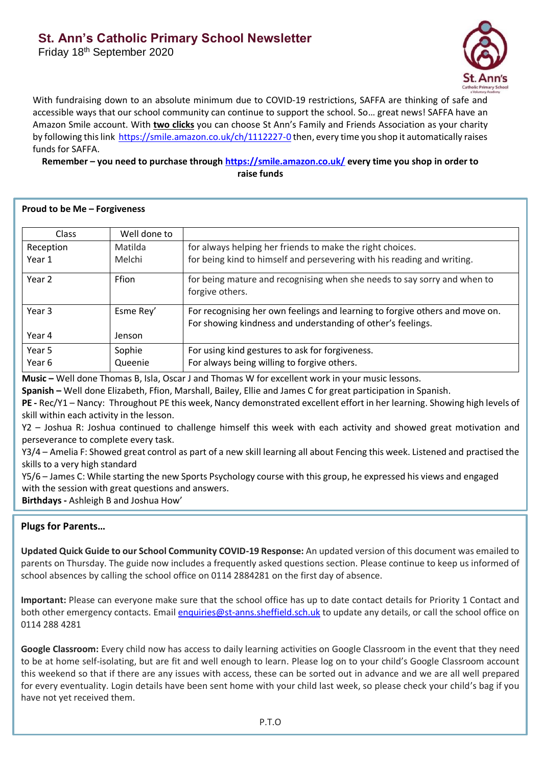## **St. Ann's Catholic Primary School Newsletter**

Friday 18<sup>th</sup> September 2020



With fundraising down to an absolute minimum due to COVID-19 restrictions, SAFFA are thinking of safe and accessible ways that our school community can continue to support the school. So… great news! SAFFA have an Amazon Smile account. With **two clicks** you can choose St Ann's Family and Friends Association as your charity by following this link<https://smile.amazon.co.uk/ch/1112227-0> then, every time you shop it automatically raises funds for SAFFA.

**Remember – you need to purchase through<https://smile.amazon.co.uk/> every time you shop in order to raise funds**

|  |  |  |  |  |  | Proud to be Me - Forgiveness |
|--|--|--|--|--|--|------------------------------|
|--|--|--|--|--|--|------------------------------|

| <b>Class</b> | Well done to |                                                                                                                                             |  |
|--------------|--------------|---------------------------------------------------------------------------------------------------------------------------------------------|--|
| Reception    | Matilda      | for always helping her friends to make the right choices.                                                                                   |  |
| Year 1       | Melchi       | for being kind to himself and persevering with his reading and writing.                                                                     |  |
| Year 2       | Ffion        | for being mature and recognising when she needs to say sorry and when to<br>forgive others.                                                 |  |
| Year 3       | Esme Rey'    | For recognising her own feelings and learning to forgive others and move on.<br>For showing kindness and understanding of other's feelings. |  |
| Year 4       | Jenson       |                                                                                                                                             |  |
| Year 5       | Sophie       | For using kind gestures to ask for forgiveness.                                                                                             |  |
| Year 6       | Queenie      | For always being willing to forgive others.                                                                                                 |  |

**Music –** Well done Thomas B, Isla, Oscar J and Thomas W for excellent work in your music lessons.

**Spanish –** Well done Elizabeth, Ffion, Marshall, Bailey, Ellie and James C for great participation in Spanish.

**PE -** Rec/Y1 – Nancy: Throughout PE this week, Nancy demonstrated excellent effort in her learning. Showing high levels of skill within each activity in the lesson.

Y2 – Joshua R: Joshua continued to challenge himself this week with each activity and showed great motivation and perseverance to complete every task.

Y3/4 – Amelia F: Showed great control as part of a new skill learning all about Fencing this week. Listened and practised the skills to a very high standard

Y5/6 – James C: While starting the new Sports Psychology course with this group, he expressed his views and engaged with the session with great questions and answers.

**Birthdays -** Ashleigh B and Joshua How'

## **Plugs for Parents…**

**Updated Quick Guide to our School Community COVID-19 Response:** An updated version of this document was emailed to parents on Thursday. The guide now includes a frequently asked questions section. Please continue to keep us informed of school absences by calling the school office on 0114 2884281 on the first day of absence.

**Important:** Please can everyone make sure that the school office has up to date contact details for Priority 1 Contact and both other emergency contacts. Emai[l enquiries@st-anns.sheffield.sch.uk](mailto:enquiries@st-anns.sheffield.sch.uk) to update any details, or call the school office on 0114 288 4281

**Google Classroom:** Every child now has access to daily learning activities on Google Classroom in the event that they need to be at home self-isolating, but are fit and well enough to learn. Please log on to your child's Google Classroom account this weekend so that if there are any issues with access, these can be sorted out in advance and we are all well prepared for every eventuality. Login details have been sent home with your child last week, so please check your child's bag if you have not yet received them.